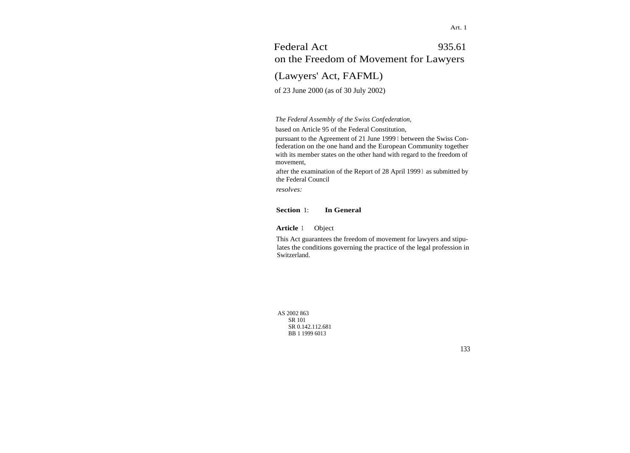# Federal Act 935.61 on the Freedom of Movement for Lawyers

(Lawyers' Act, FAFML)

of 23 June 2000 (as of 30 July 2002)

*The Federal Assembly of the Swiss Confederation,*

based on Article 95 of the Federal Constitution,

pursuant to the Agreement of 21 June 1999 <sup>1</sup> between the Swiss Confederation on the one hand and the European Community together with its member states on the other hand with regard to the freedom of movement,

after the examination of the Report of 28 April 19993 as submitted by the Federal Council

*resolves:*

## **Section** 1: **In General**

#### **Article** <sup>1</sup> Object

This Act guarantees the freedom of movement for lawyers and stipulates the conditions governing the practice of the legal profession in Switzerland.

AS 2002 863 SR 101 SR 0.142.112.681 BB 1 1999 6013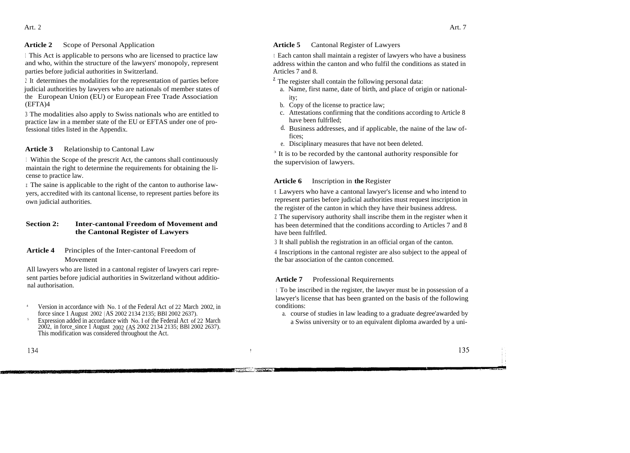#### **Article 2** Scope of Personal Application

<sup>1</sup> This Act is applicable to persons who are licensed to practice law and who, within the structure of the lawyers' monopoly, represent parties before judicial authorities in Switzerland.

<sup>2</sup> It determines the modalities for the representation of parties before judicial authorities by lawyers who are nationals of member states of the European Union (EU) or European Free Trade Association (EFTA)4

<sup>3</sup> The modalities also apply to Swiss nationals who are entitled to practice law in a member state of the EU or EFTAS under one of professional titles listed in the Appendix.

#### **Article 3** Relationship to Cantonal Law

<sup>1</sup> Within the Scope of the prescrit Act, the cantons shall continuously maintain the right to determine the requirements for obtaining the license to practice law.

<sup>z</sup> The saine is applicable to the right of the canton to authorise lawyers, accredited with its cantonal license, to represent parties before its own judicial authorities.

## **Section 2: Inter-cantonal Freedom of Movement and the Cantonal Register of Lawyers**

**Article 4** Principles of the Inter-cantonal Freedom of Movement

All lawyers who are listed in a cantonal register of lawyers cari represent parties before judicial authorities in Switzerland without additional authorisation.

- 4 Version in accordance with No. 1 of the Federal Act of 22 March 2002, in force since 1 August 2002 ( AS 2002 2134 2135; BBl 2002 2637).
- Expression added in accordance with No. I of the Federal Act of 22 March 2002, in force\_since 1 August 2002 (AS 2002 2134 2135; BBl 2002 2637). This modification was considered throughout the Act.

5

#### **Article 5** Cantonal Register of Lawyers

<sup>t</sup> Each canton shall maintain a register of lawyers who have a business address within the canton and who fulfil the conditions as stated in Articles 7 and 8.

- $<sup>z</sup>$  The register shall contain the following personal data:</sup>
	- a. Name, first name, date of birth, and place of origin or nationality;
	- b. Copy of the license to practice law;
	- c. Attestations confirming that the conditions according to Article 8 have been fulfrlled;
	- d. Business addresses, and if applicable, the naine of the law offices;
	- e. Disciplinary measures that have not been deleted.

<sup>3</sup> It is to be recorded by the cantonal authority responsible for the supervision of lawyers.

#### **Article 6** Inscription in **the** Register

t Lawyers who have a cantonal lawyer's license and who intend to represent parties before judicial authorities must request inscription in the register of the canton in which they have their business address.

<sup>Z</sup> The supervisory authority shall inscribe them in the register when it has been determined that the conditions according to Articles 7 and 8 have been fulfrlled.

<sup>3</sup> It shall publish the registration in an official organ of the canton.

<sup>4</sup> Inscriptions in the cantonal register are also subject to the appeal of the bar association of the canton concemed.

#### **Article 7** Professional Requirernents

<sup>t</sup> To be inscribed in the register, the lawyer must be in possession of a lawyer's license that has been granted on the basis of the following conditions:

a. course of studies in law leading to a graduate degree'awarded by a Swiss university or to an equivalent diploma awarded by a uni-

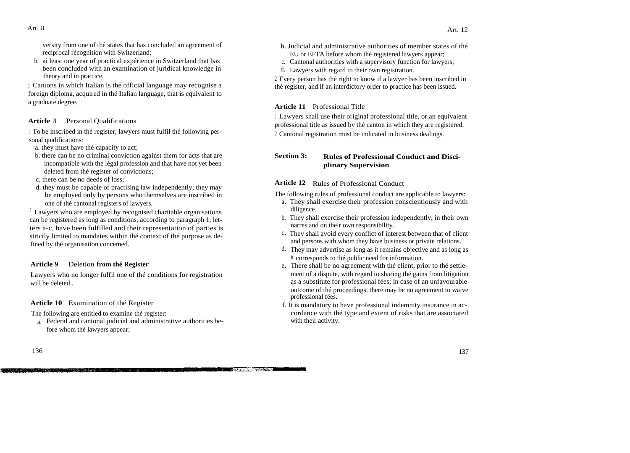versity from one of thé states that has concluded an agreement of reciprocal récognition with Switzerland;

b. ai least one year of practical expérience in Switzerland that bas been concluded with an examination of juridical knowledge in theory and in practice.

<sup>2</sup> Cantons in which Italian is thé official language may recognise a foreign diploma, acquired in thé Italian language, that is equivalent to a graduate degree.

#### **Article** 8 Personal Qualifications

<sup>1</sup> To be inscribed in thé register, lawyers must fulfil thé following personal qualifications:

- a. they must have thé capacity to act;
- b. there can be no criminal conviction against them for acts that are incompatible with thé légal profession and that have not yet been deleted from thé register of convictions;
- c. there can be no deeds of loss;
- d. they must be capable of practising law independently; they may be employed only by persons who themselves are inscribed in one of thé cantonal registers of lawyers.

 $2 \text{ Lawyers who are employed by recognised charitable organisations}$ can be registered as long as conditions, according to paragraph 1, letters a-c, have been fulfilled and their representation of parties is strictly limited to mandates within thé context of thé purpose as defined by thé organisation concemed.

## **Article 9** Deletion **from thé Register**

Lawyers who no longer fulfil one of thé conditions for registration will be deleted .

**Article 10** Examination of thé Register

The following are entitled to examine thé register:

a. Federal and cantonal judicial and administrative authorities before whom thé lawyers appear;

- b. Judicial and administrative authorities of member states of thé EU or EFTA before whom thé registered lawyers appear;
- c. Cantonal authorities with a supervisory function for lawyers;
- d. Lawyers with regard to their own registration.

<sup>2</sup> Every person has thé right to know if a lawyer bas been inscribed in thé register, and if an interdictory order to practice has been issued.

# **Article 11** Professional Title

**TELEVISION CONTRACT** 

<sup>1</sup> Lawyers shall use their original professional title, or an equivalent professional title as issued by thé canton in which they are registered. <sup>2</sup> Cantonal registration must be indicated in business dealings.

# **Section 3: Rules of Professional Conduct and Disciplinary Supervision**

# **Article 12** Rules of Professional Conduct

The following rules of professional conduct are applicable to lawyers:

- a. They shall exercise their profession conscientiously and with diligence.
- b. They shall exercise their profession independently, in their own narres and on their own responsibility.
- c. They shall avoid every conflict of interest between that of client and persons with whom they have business or private relations.
- d. They may advertise as long as it remains objective and as long as it corresponds to thé public need for information.
- e. There shall be no agreement with thé client, prior to thé settlement of a dispute, with regard to sharing thé gains from litigation as a substitute for professional fées; in case of an unfavourable outcome of thé proceedings, there may be no agreement to waive professional fées.
- f. It is mandatory to have professional indemnity insurance in accordance with thé type and extent of risks that are associated with their activity.

to the last white the beauty of the company of the company which is a little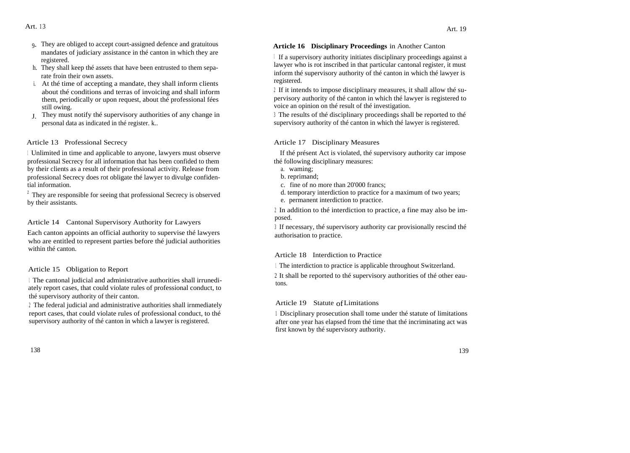- 9- They are obliged to accept court-assigned defence and gratuitous mandates of judiciary assistance in thé canton in which they are registered.
- h. They shall keep thé assets that have been entrusted to them separate froin their own assets.
- i. At thé time of accepting a mandate, they shall inform clients about thé conditions and terras of invoicing and shall inform them, periodically or upon request, about thé professional fées still owing.
- J. They must notify thé supervisory authorities of any change in personal data as indicated in thé register. k..

#### Article 13 Professional Secrecy

<sup>1</sup> Unlimited in time and applicable to anyone, lawyers must observe professional Secrecy for all information that has been confided to them by their clients as a result of their professional activity. Release from professional Secrecy does rot obligate thé lawyer to divulge confidential information.

<sup>2</sup> They are responsible for seeing that professional Secrecy is observed by their assistants.

Article 14 Cantonal Supervisory Authority for Lawyers

Each canton appoints an official authority to supervise thé lawyers who are entitled to represent parties before thé judicial authorities within thé canton.

Article 15 Obligation to Report

<sup>1</sup> The cantonal judicial and administrative authorities shall irrunediately report cases, that could violate rules of professional conduct, to thé supervisory authority of their canton.

<sup>2</sup> The federal judicial and administrative authorities shall irnmediately report cases, that could violate rules of professional conduct, to thé supervisory authority of thé canton in which a lawyer is registered.

## **Article 16 Disciplinary Proceedings** in Another Canton

<sup>1</sup> If a supervisory authority initiates disciplinary proceedings against a lawyer who is rot inscribed in that particular cantonal register, it must inform thé supervisory authority of thé canton in which thé lawyer is registered.

<sup>2</sup> If it intends to impose disciplinary measures, it shall allow thé supervisory authority of thé canton in which thé lawyer is registered to voice an opinion on thé result of thé investigation.

<sup>3</sup> The results of thé disciplinary proceedings shall be reported to thé supervisory authority of thé canton in which thé lawyer is registered.

## Article 17 Disciplinary Measures

If thé présent Act is violated, thé supervisory authority car impose thé following disciplinary measures:

- a. waming;
- b. reprimand;
- c. fine of no more than 20'000 francs;
- d. temporary interdiction to practice for a maximum of two years;
- e. permanent interdiction to practice.

<sup>2</sup> In addition to thé interdiction to practice, a fine may also be imposed.

<sup>3</sup> If necessary, thé supervisory authority car provisionally rescind thé authorisation to practice.

#### Article 18 Interdiction to Practice

<sup>1</sup> The interdiction to practice is applicable throughout Switzerland.

<sup>2</sup> It shall be reported to thé supervisory authorities of thé other eautons.

## Article 19 Statute ofLimitations

<sup>1</sup> Disciplinary prosecution shall tome under thé statute of limitations after one year has elapsed from thé time that thé incriminating act was first known by thé supervisory authority.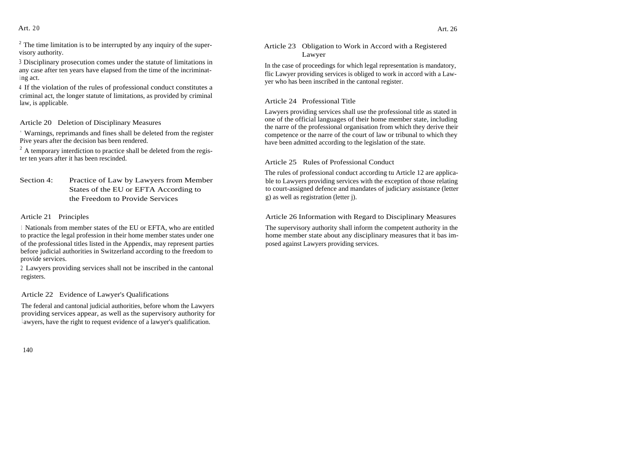Art.  $20$ 

<sup>3</sup> Disciplinary prosecution comes under the statute of limitations in any case after ten years have elapsed from the time of the incriminat<sup>i</sup> ng act.

<sup>4</sup> If the violation of the rules of professional conduct constitutes a criminal act, the longer statute of limitations, as provided by criminal law, is applicable.

Article 20 Deletion of Disciplinary Measures

' Warnings, reprimands and fines shall be deleted from the register Pive years after the decision bas been rendered.

<sup>2</sup> A temporary interdiction to practice shall be deleted from the register ten years after it has been rescinded.

Section 4: Practice of Law by Lawyers from Member States of the EU or EFTA According to the Freedom to Provide Services

# Article 21 Principles

<sup>1</sup> Nationals from member states of the EU or EFTA, who are entitled to practice the legal profession in their home member states under one of the professional titles listed in the Appendix, may represent parties before judicial authorities in Switzerland according to the freedom to provide services.

<sup>2</sup> Lawyers providing services shall not be inscribed in the cantonal registers.

# Article 22 Evidence of Lawyer's Qualifications

The federal and cantonal judicial authorities, before whom the Lawyers providing services appear, as well as the supervisory authority for lawyers, have the right to request evidence of a lawyer's qualification.

Article 23 Obligation to Work in Accord with a Registered Lawyer

In the case of proceedings for which legal representation is mandatory, flic Lawyer providing services is obliged to work in accord with a Lawyer who has been inscribed in the cantonal register.

# Article 24 Professional Title

Lawyers providing services shall use the professional title as stated in one of the official languages of their home member state, including the narre of the professional organisation from which they derive their competence or the narre of the court of law or tribunal to which they have been admitted according to the legislation of the state.

# Article 25 Rules of Professional Conduct

The rules of professional conduct according tu Article 12 are applicable to Lawyers providing services with the exception of those relating to court-assigned defence and mandates of judiciary assistance (letter g) as well as registration (letter j).

# Article 26 Information with Regard to Disciplinary Measures

The supervisory authority shall inform the competent authority in the home member state about any disciplinary measures that it bas imposed against Lawyers providing services.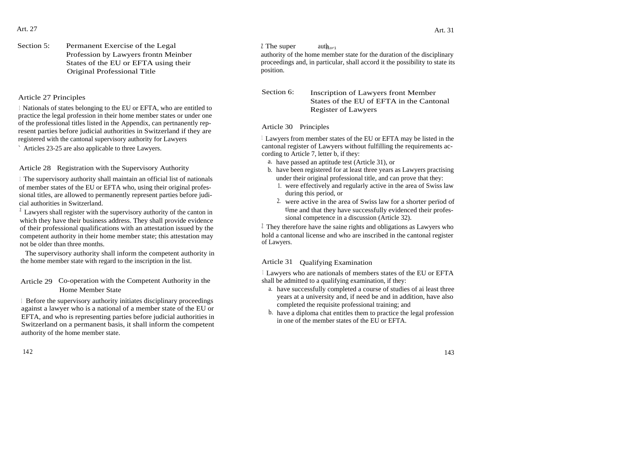Art. 27 Art. 31

143

Section 5: Permanent Exercise of the Legal  $\frac{Z \text{ The super}}{Z \text{ The super}}$  auth<sub>or1</sub> Original Professional Title

<sup>1</sup> Nationals of states belonging to the EU or EFTA, who are entitled to practice the legal profession in their home member states or under one of the professional titles listed in the Appendix, can pertnanently represent parties before judicial authorities in Switzerland if they are registered with the cantonal supervisory authority for Lawyers

` Articles 23-25 are also applicable to three Lawyers.

Article 28 Registration with the Supervisory Authority

<sup>1</sup> The supervisory authority shall maintain an official list of nationals of member states of the EU or EFTA who, using their original professional titles, are allowed to permanently represent parties before judicial authorities in Switzerland.

 $\frac{1}{2}$  Lawyers shall register with the supervisory authority of the canton in which they have their business address. They shall provide evidence of their professional qualifications with an attestation issued by the competent authority in their home member state; this attestation may not be older than three months.

The supervisory authority shall inform the competent authority in the home member state with regard to the inscription in the list.

# Article 29 Co-operation with the Competent Authority in the Home Member State

<sup>1</sup> Before the supervisory authority initiates disciplinary proceedings against a lawyer who is a national of a member state of the EU or EFTA, and who is representing parties before judicial authorities in Switzerland on a permanent basis, it shall inform the competent authority of the home member state.

Profession by Lawyers frontn Meinber authority of the home member state for the duration of the disciplinary States of the EU or EFTA using their proceedings and, in particular, shall accord it the possibility to state its<br>
proceedings and, in particular, shall accord it the possibility to state its<br>
position.

States of the EU of EFTA in the Cantonal Register of Lawyers Section 6: Inscription of Lawyers front Member<br>
Section 6: Inscription of Lawyers front Member

Article 30 Principles

<sup>1</sup> Lawyers from member states of the EU or EFTA may be listed in the cantonal register of Lawyers without fulfilling the requirements according to Article 7, letter b, if they:

- a. have passed an aptitude test (Article 31), or
- b. have been registered for at least three years as Lawyers practising under their original professional title, and can prove that they:
	- 1. were effectively and regularly active in the area of Swiss law during this period, or
	- 2. were active in the area of Swiss law for a shorter perïod of time and that they have successfully evidenced their professional competence in a discussion (Article 32).

 $\ell$  They therefore have the saine rights and obligations as Lawyers who hold a cantonal license and who are inscribed in the cantonal register of Lawyers.

## Article 31 Qualifying Examination

<sup>1</sup> Lawyers who are nationals of members states of the EU or EFTA shall be admitted to a qualifying examination, if they:

- a. have successfully completed a course of studies of ai least three years at a university and, if need be and in addition, have also completed the requisite professional training; and
- b. have a diploma chat entitles them to practice the legal profession in one of the member states of the EU or EFTA.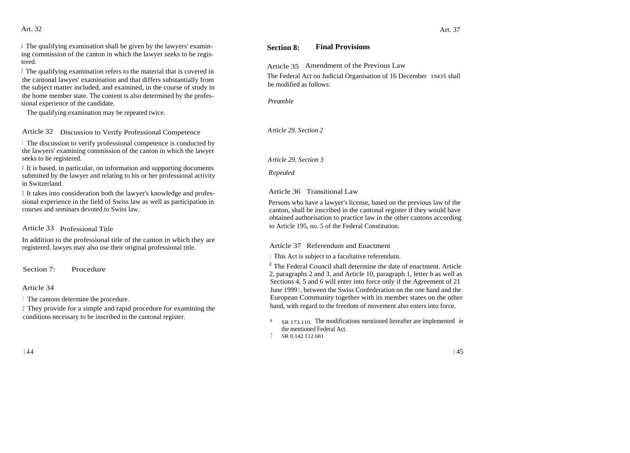#### Art. 32

 $\alpha$  The qualifying examination shall be given by the lawyers' examining commission of the canton in which the lawyer seeks to be registered.

<sup>3</sup> The qualifying examination refers to the material that is covered in the cantonal lawyes' examination and that differs substantially from the subject matter included, and examined, in the course of study in the home member state. The content is also determined by the professional experience of the candidate.

The qualifying examination may be repeated twice.

Article 32 Discussion to Verify Professional Competence

<sup>1</sup> The discussion to verify professional competence is conducted by the lawyers' examining commission of the canton in which the lawyer seeks to be registered.

<sup>z</sup> It is based, in particular, on information and supporting documents submitted by the lawyer and relating to his or her professional activity in Switzerland.

<sup>3</sup> It takes into consideration both the lawyer's knowledge and professional experience in the field of Swiss law as well as participation in courses and seminars devoted to Swiss law.

Article 33 Professional Title

In addition to the professional title of the canton in which they are registered, lawyes may also use their original professional title.

Section 7: Procedure

Article 34

<sup>1</sup> The cantons determine the procedure.

<sup>2</sup> They provide for a simple and rapid procedure for examining the conditions necessary to be inscribed in the cantonal register.

# **Section 8: Final Provisions**

Article 35 Amendment of the Previous Law

The Federal Act on Judicial Organisation of 16 December 1943 <sup>6</sup> shall be modified as follows:

*Preamble*

*Article 29. Section 2*

*Article 29, Section 3*

*Repealed*

Article 36 Transitional Law

Persons who have a lawyer's license, based on the previous law of the canton, shall be inscribed in the cantonal register if they would have obtained authorisation to practice law in the other cantons according to Article 195, no. 5 of the Federal Constitution.

Article 37 Referendum and Enactment

<sup>1</sup> This Act is subject to a facultative referendutn.

 $<sup>z</sup>$  The Federal Council shall determine the date of enactment. Article</sup> 2, paragraphs 2 and 3, and Article 10, paragraph 1, letter b as well as Sections 4, 5 and 6 will enter into force only if the Agreement of 21 June 1999 <sup>1</sup> , between the Swiss Confederation on the one hand and the European Community together with its member states on the other hand, with regard to the freedom of movement also enters into force.

- e SR 173.110. The modifications mentioned liereafter are ïmplemented *in* the mentioned Federal Act.
- <sup>7</sup> SR 0.142.112.681